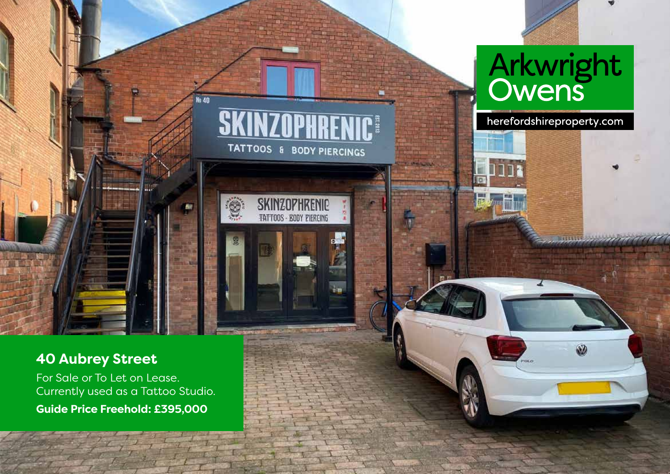

 $\overline{\mathbf{u}}$ 

# **40 Aubrey Street**

For Sale or To Let on Lease. Currently used as a Tattoo Studio. **Guide Price Freehold: £395,000**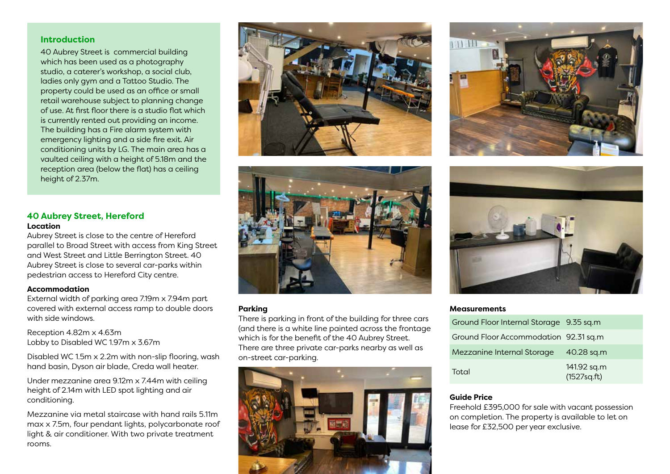### **Introduction**

40 Aubrey Street is commercial building which has been used as a photography studio, a caterer's workshop, a social club, ladies only gym and a Tattoo Studio. The property could be used as an office or small retail warehouse subject to planning change of use. At first floor there is a studio flat which is currently rented out providing an income. The building has a Fire alarm system with emergency lighting and a side fire exit. Air conditioning units by LG. The main area has a vaulted ceiling with a height of 5.18m and the reception area (below the flat) has a ceiling height of 2.37m.

### **40 Aubrey Street, Hereford Location**

Aubrey Street is close to the centre of Hereford parallel to Broad Street with access from King Street and West Street and Little Berrington Street. 40 Aubrey Street is close to several car-parks within pedestrian access to Hereford City centre.

### **Accommodation**

External width of parking area 7.19m x 7.94m part covered with external access ramp to double doors with side windows.

Reception 4.82m x 4.63m Lobby to Disabled WC 1.97m x 3.67m

Disabled WC 1.5m x 2.2m with non-slip flooring, wash hand basin, Dyson air blade, Creda wall heater.

Under mezzanine area 9.12m x 7.44m with ceiling height of 2.14m with LED spot lighting and air conditioning.

Mezzanine via metal staircase with hand rails 5.11m max x 7.5m, four pendant lights, polycarbonate roof light & air conditioner. With two private treatment rooms.





### **Parking**

There is parking in front of the building for three cars (and there is a white line painted across the frontage which is for the benefit of the 40 Aubrey Street. There are three private car-parks nearby as well as on-street car-parking.







#### **Measurements**

| Ground Floor Internal Storage 9.35 sq.m |                             |
|-----------------------------------------|-----------------------------|
| Ground Floor Accommodation 92.31 sq.m   |                             |
| Mezzanine Internal Storage 40.28 sq.m   |                             |
| Total                                   | 141.92 sq.m<br>(1527sq.fit) |

#### **Guide Price**

Freehold £395,000 for sale with vacant possession on completion. The property is available to let on lease for £32,500 per year exclusive.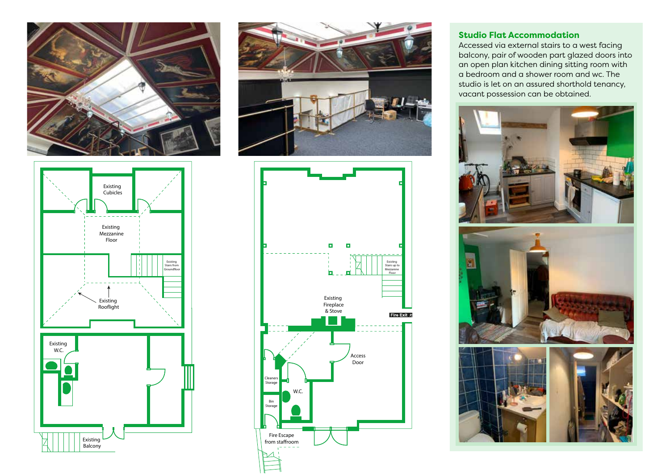







### **Studio Flat Accommodation**

Accessed via external stairs to a west facing balcony, pair of wooden part glazed doors into an open plan kitchen dining sitting room with a bedroom and a shower room and wc. The studio is let on an assured shorthold tenancy, vacant possession can be obtained.